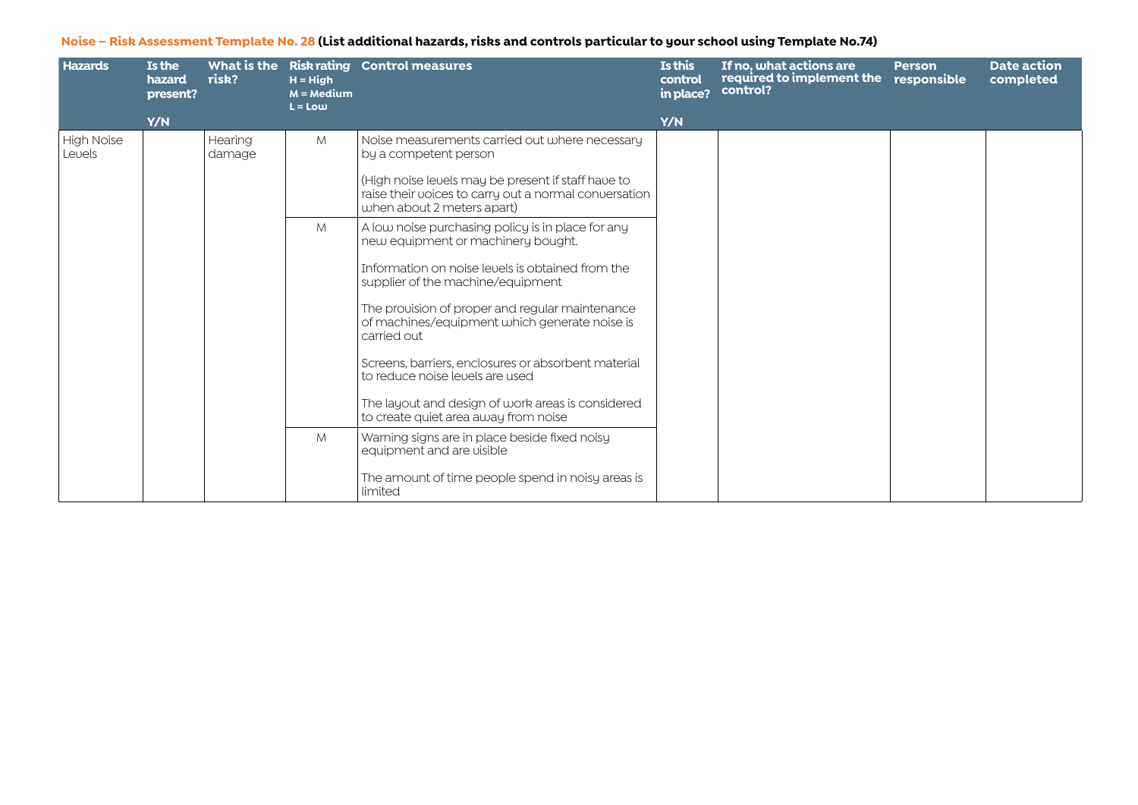| <b>Hazards</b>       | <b>Is the</b><br>hazard<br>present? | risk?             | $H = H$ igh<br>$M = Medium$<br>$L = Low$ | What is the Risk rating Control measures                                                                                                  | Is this<br>control<br>in place? | If no, what actions are<br>required to implement the<br>control? | <b>Person</b><br>responsible | <b>Date action</b><br>completed |
|----------------------|-------------------------------------|-------------------|------------------------------------------|-------------------------------------------------------------------------------------------------------------------------------------------|---------------------------------|------------------------------------------------------------------|------------------------------|---------------------------------|
|                      | Y/N                                 |                   |                                          |                                                                                                                                           | Y/N                             |                                                                  |                              |                                 |
| High Noise<br>Levels |                                     | Hearing<br>damage | M                                        | Noise measurements carried out where necessary<br>by a competent person                                                                   |                                 |                                                                  |                              |                                 |
|                      |                                     |                   |                                          | (High noise levels may be present if staff have to<br>raise their voices to carry out a normal conversation<br>when about 2 meters apart) |                                 |                                                                  |                              |                                 |
|                      |                                     |                   | M                                        | A low noise purchasing policy is in place for any<br>new equipment or machinery bought.                                                   |                                 |                                                                  |                              |                                 |
|                      |                                     |                   |                                          | Information on noise levels is obtained from the<br>supplier of the machine/equipment                                                     |                                 |                                                                  |                              |                                 |
|                      |                                     |                   |                                          | The prouision of proper and regular maintenance<br>of machines/equipment which generate noise is<br>carried out                           |                                 |                                                                  |                              |                                 |
|                      |                                     |                   |                                          | Screens, barriers, enclosures or absorbent material<br>to reduce noise levels are used.                                                   |                                 |                                                                  |                              |                                 |
|                      |                                     |                   |                                          | The layout and design of work areas is considered<br>to create quiet area away from noise                                                 |                                 |                                                                  |                              |                                 |
|                      |                                     |                   | M                                        | Warning signs are in place beside fixed noisy<br>equipment and are visible                                                                |                                 |                                                                  |                              |                                 |
|                      |                                     |                   |                                          | The amount of time people spend in noisy areas is<br>limited                                                                              |                                 |                                                                  |                              |                                 |

## **Noise – Risk Assessment Template No. 28 (List additional hazards, risks and controls particular to your school using Template No.74)**